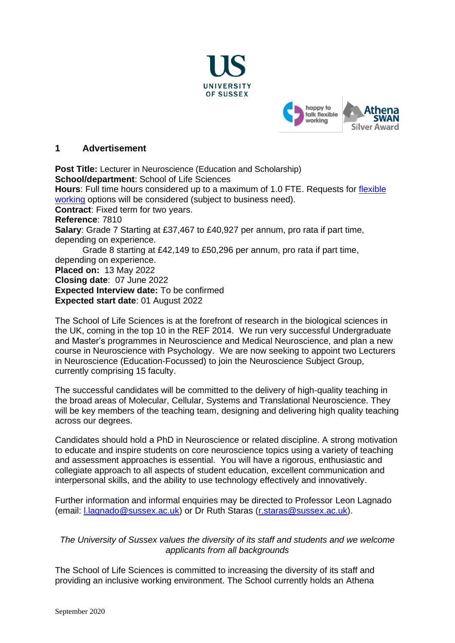



#### **1 Advertisement**

**Post Title:** Lecturer in Neuroscience (Education and Scholarship) **School/department**: School of Life Sciences **Hours**: Full time hours considered up to a maximum of 1.0 FTE. Requests for [flexible](https://www.sussex.ac.uk/humanresources/business-services/flexible-working)  [working](https://www.sussex.ac.uk/humanresources/business-services/flexible-working) options will be considered (subject to business need). **Contract**: Fixed term for two years. **Reference**: 7810 **Salary**: Grade 7 Starting at £37,467 to £40,927 per annum, pro rata if part time, depending on experience. Grade 8 starting at £42,149 to £50,296 per annum, pro rata if part time, depending on experience. **Placed on:** 13 May 2022 **Closing date**: 07 June 2022 **Expected Interview date:** To be confirmed **Expected start date**: 01 August 2022

The School of Life Sciences is at the forefront of research in the biological sciences in the UK, coming in the top 10 in the REF 2014. We run very successful Undergraduate and Master's programmes in Neuroscience and Medical Neuroscience, and plan a new course in Neuroscience with Psychology. We are now seeking to appoint two Lecturers in Neuroscience (Education-Focussed) to join the Neuroscience Subject Group, currently comprising 15 faculty.

The successful candidates will be committed to the delivery of high-quality teaching in the broad areas of Molecular, Cellular, Systems and Translational Neuroscience. They will be key members of the teaching team, designing and delivering high quality teaching across our degrees.

Candidates should hold a PhD in Neuroscience or related discipline. A strong motivation to educate and inspire students on core neuroscience topics using a variety of teaching and assessment approaches is essential. You will have a rigorous, enthusiastic and collegiate approach to all aspects of student education, excellent communication and interpersonal skills, and the ability to use technology effectively and innovatively.

Further information and informal enquiries may be directed to Professor Leon Lagnado (email: *L.lagnado@sussex.ac.uk*) or Dr Ruth Staras [\(r.staras@sussex.ac.uk\)](mailto:r.staras@sussex.ac.uk).

## *The University of Sussex values the diversity of its staff and students and we welcome applicants from all backgrounds*

The School of Life Sciences is committed to increasing the diversity of its staff and providing an inclusive working environment. The School currently holds an Athena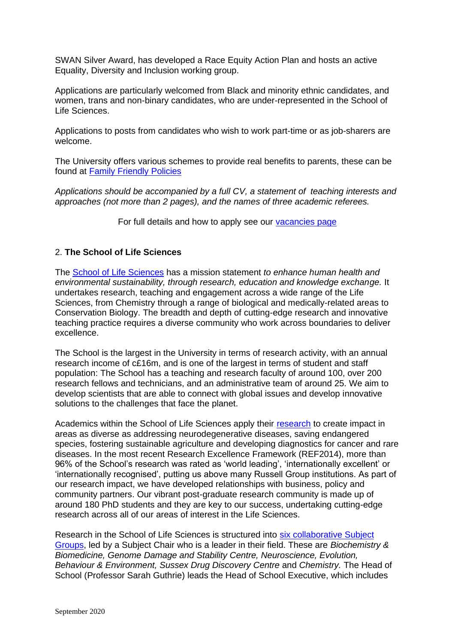SWAN Silver Award, has developed a Race Equity Action Plan and hosts an active Equality, Diversity and Inclusion working group.

Applications are particularly welcomed from Black and minority ethnic candidates, and women, trans and non-binary candidates, who are under-represented in the School of Life Sciences.

Applications to posts from candidates who wish to work part-time or as job-sharers are welcome.

The University offers various schemes to provide real benefits to parents, these can be found at [Family Friendly Policies](http://www.sussex.ac.uk/humanresources/personnel/familyfriendlypolicies)

*Applications should be accompanied by a full CV, a statement of teaching interests and approaches (not more than 2 pages), and the names of three academic referees.* 

For full details and how to apply see our [vacancies page](http://www.sussex.ac.uk/about/jobs)

#### 2. **The School of Life Sciences**

The [School of Life Sciences](http://www.sussex.ac.uk/lifesci/) has a mission statement *to enhance human health and environmental sustainability, through research, education and knowledge exchange.* It undertakes research, teaching and engagement across a wide range of the Life Sciences, from Chemistry through a range of biological and medically-related areas to Conservation Biology. The breadth and depth of cutting-edge research and innovative teaching practice requires a diverse community who work across boundaries to deliver excellence.

The School is the largest in the University in terms of research activity, with an annual research income of c£16m, and is one of the largest in terms of student and staff population: The School has a teaching and research faculty of around 100, over 200 research fellows and technicians, and an administrative team of around 25. We aim to develop scientists that are able to connect with global issues and develop innovative solutions to the challenges that face the planet.

Academics within the School of Life Sciences apply their [research](http://www.sussex.ac.uk/lifesci/research) to create impact in areas as diverse as addressing neurodegenerative diseases, saving endangered species, fostering sustainable agriculture and developing diagnostics for cancer and rare diseases. In the most recent Research Excellence Framework (REF2014), more than 96% of the School's research was rated as 'world leading', 'internationally excellent' or 'internationally recognised', putting us above many Russell Group institutions. As part of our research impact, we have developed relationships with business, policy and community partners. Our vibrant post-graduate research community is made up of around 180 PhD students and they are key to our success, undertaking cutting-edge research across all of our areas of interest in the Life Sciences.

Research in the School of Life Sciences is structured into [six collaborative](http://www.sussex.ac.uk/lifesci/) Subject [Groups,](http://www.sussex.ac.uk/lifesci/) led by a Subject Chair who is a leader in their field. These are *Biochemistry & Biomedicine, Genome Damage and Stability Centre, Neuroscience, Evolution, Behaviour & Environment, Sussex Drug Discovery Centre* and *Chemistry.* The Head of School (Professor Sarah Guthrie) leads the Head of School Executive, which includes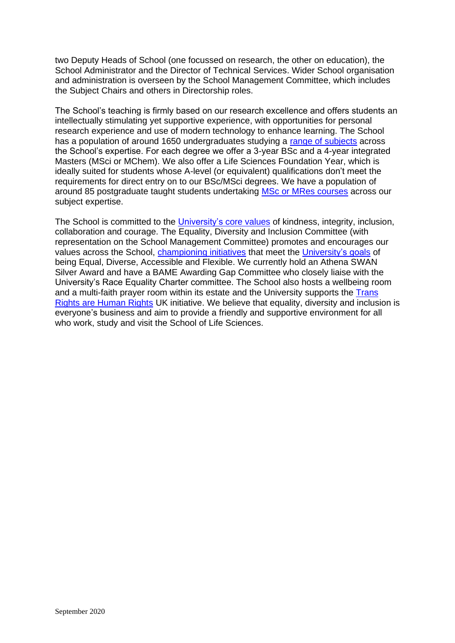two Deputy Heads of School (one focussed on research, the other on education), the School Administrator and the Director of Technical Services. Wider School organisation and administration is overseen by the School Management Committee, which includes the Subject Chairs and others in Directorship roles.

The School's teaching is firmly based on our research excellence and offers students an intellectually stimulating yet supportive experience, with opportunities for personal research experience and use of modern technology to enhance learning. The School has a population of around 1650 undergraduates studying a [range of subjects](http://www.sussex.ac.uk/lifesci/ugstudy) across the School's expertise. For each degree we offer a 3-year BSc and a 4-year integrated Masters (MSci or MChem). We also offer a Life Sciences Foundation Year, which is ideally suited for students whose A-level (or equivalent) qualifications don't meet the requirements for direct entry on to our BSc/MSci degrees. We have a population of around 85 postgraduate taught students undertaking [MSc or MRes courses](http://www.sussex.ac.uk/lifesci/pgstudy) across our subject expertise.

The School is committed to the [University's core values](https://www.sussex.ac.uk/strategy/) of kindness, integrity, inclusion, collaboration and courage. The Equality, Diversity and Inclusion Committee (with representation on the School Management Committee) promotes and encourages our values across the School, [championing initiatives](http://www.sussex.ac.uk/lifesci/equality-diversity-and-inclusion/) that meet the [University's goals](https://www.sussex.ac.uk/equalities/strategy) of being Equal, Diverse, Accessible and Flexible. We currently hold an Athena SWAN Silver Award and have a BAME Awarding Gap Committee who closely liaise with the University's Race Equality Charter committee. The School also hosts a wellbeing room and a multi-faith prayer room within its estate and the University supports the Trans [Rights are Human Rights](https://www.sussex.ac.uk/news/university?id=52962) UK initiative. We believe that equality, diversity and inclusion is everyone's business and aim to provide a friendly and supportive environment for all who work, study and visit the School of Life Sciences.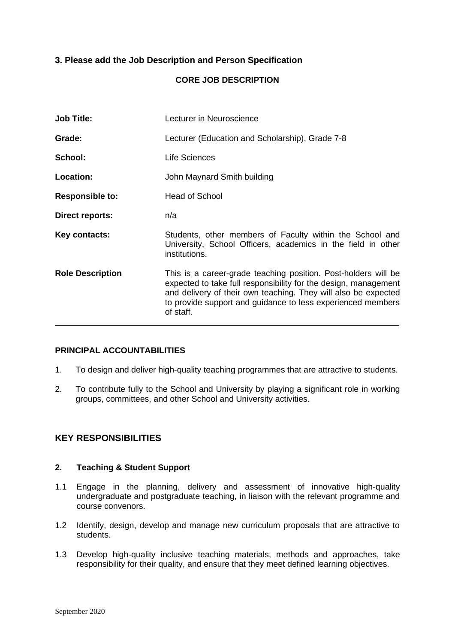## **3. Please add the Job Description and Person Specification**

#### **CORE JOB DESCRIPTION**

| <b>Job Title:</b>       | Lecturer in Neuroscience                                                                                                                                                                                                                                                        |
|-------------------------|---------------------------------------------------------------------------------------------------------------------------------------------------------------------------------------------------------------------------------------------------------------------------------|
| Grade:                  | Lecturer (Education and Scholarship), Grade 7-8                                                                                                                                                                                                                                 |
| School:                 | Life Sciences                                                                                                                                                                                                                                                                   |
| Location:               | John Maynard Smith building                                                                                                                                                                                                                                                     |
| <b>Responsible to:</b>  | <b>Head of School</b>                                                                                                                                                                                                                                                           |
| <b>Direct reports:</b>  | n/a                                                                                                                                                                                                                                                                             |
| Key contacts:           | Students, other members of Faculty within the School and<br>University, School Officers, academics in the field in other<br>institutions.                                                                                                                                       |
| <b>Role Description</b> | This is a career-grade teaching position. Post-holders will be<br>expected to take full responsibility for the design, management<br>and delivery of their own teaching. They will also be expected<br>to provide support and guidance to less experienced members<br>of staff. |

### **PRINCIPAL ACCOUNTABILITIES**

- 1. To design and deliver high-quality teaching programmes that are attractive to students.
- 2. To contribute fully to the School and University by playing a significant role in working groups, committees, and other School and University activities.

## **KEY RESPONSIBILITIES**

## **2. Teaching & Student Support**

- 1.1 Engage in the planning, delivery and assessment of innovative high-quality undergraduate and postgraduate teaching, in liaison with the relevant programme and course convenors.
- 1.2 Identify, design, develop and manage new curriculum proposals that are attractive to students.
- 1.3 Develop high-quality inclusive teaching materials, methods and approaches, take responsibility for their quality, and ensure that they meet defined learning objectives.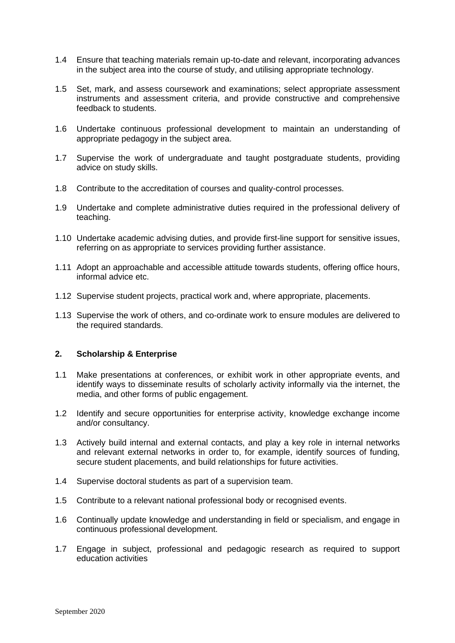- 1.4 Ensure that teaching materials remain up-to-date and relevant, incorporating advances in the subject area into the course of study, and utilising appropriate technology.
- 1.5 Set, mark, and assess coursework and examinations; select appropriate assessment instruments and assessment criteria, and provide constructive and comprehensive feedback to students.
- 1.6 Undertake continuous professional development to maintain an understanding of appropriate pedagogy in the subject area.
- 1.7 Supervise the work of undergraduate and taught postgraduate students, providing advice on study skills.
- 1.8 Contribute to the accreditation of courses and quality-control processes.
- 1.9 Undertake and complete administrative duties required in the professional delivery of teaching.
- 1.10 Undertake academic advising duties, and provide first-line support for sensitive issues, referring on as appropriate to services providing further assistance.
- 1.11 Adopt an approachable and accessible attitude towards students, offering office hours, informal advice etc.
- 1.12 Supervise student projects, practical work and, where appropriate, placements.
- 1.13 Supervise the work of others, and co-ordinate work to ensure modules are delivered to the required standards.

#### **2. Scholarship & Enterprise**

- 1.1 Make presentations at conferences, or exhibit work in other appropriate events, and identify ways to disseminate results of scholarly activity informally via the internet, the media, and other forms of public engagement.
- 1.2 Identify and secure opportunities for enterprise activity, knowledge exchange income and/or consultancy.
- 1.3 Actively build internal and external contacts, and play a key role in internal networks and relevant external networks in order to, for example, identify sources of funding, secure student placements, and build relationships for future activities.
- 1.4 Supervise doctoral students as part of a supervision team.
- 1.5 Contribute to a relevant national professional body or recognised events.
- 1.6 Continually update knowledge and understanding in field or specialism, and engage in continuous professional development.
- 1.7 Engage in subject, professional and pedagogic research as required to support education activities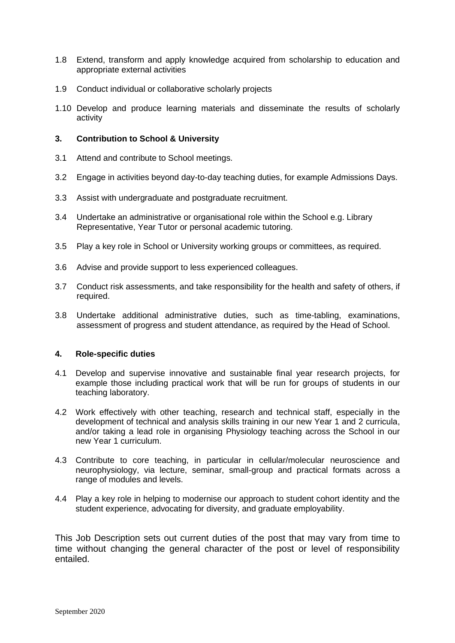- 1.8 Extend, transform and apply knowledge acquired from scholarship to education and appropriate external activities
- 1.9 Conduct individual or collaborative scholarly projects
- 1.10 Develop and produce learning materials and disseminate the results of scholarly activity

#### **3. Contribution to School & University**

- 3.1 Attend and contribute to School meetings.
- 3.2 Engage in activities beyond day-to-day teaching duties, for example Admissions Days.
- 3.3 Assist with undergraduate and postgraduate recruitment.
- 3.4 Undertake an administrative or organisational role within the School e.g. Library Representative, Year Tutor or personal academic tutoring.
- 3.5 Play a key role in School or University working groups or committees, as required.
- 3.6 Advise and provide support to less experienced colleagues.
- 3.7 Conduct risk assessments, and take responsibility for the health and safety of others, if required.
- 3.8 Undertake additional administrative duties, such as time-tabling, examinations, assessment of progress and student attendance, as required by the Head of School.

#### **4. Role-specific duties**

- 4.1 Develop and supervise innovative and sustainable final year research projects, for example those including practical work that will be run for groups of students in our teaching laboratory.
- 4.2 Work effectively with other teaching, research and technical staff, especially in the development of technical and analysis skills training in our new Year 1 and 2 curricula, and/or taking a lead role in organising Physiology teaching across the School in our new Year 1 curriculum.
- 4.3 Contribute to core teaching, in particular in cellular/molecular neuroscience and neurophysiology, via lecture, seminar, small-group and practical formats across a range of modules and levels.
- 4.4 Play a key role in helping to modernise our approach to student cohort identity and the student experience, advocating for diversity, and graduate employability.

This Job Description sets out current duties of the post that may vary from time to time without changing the general character of the post or level of responsibility entailed.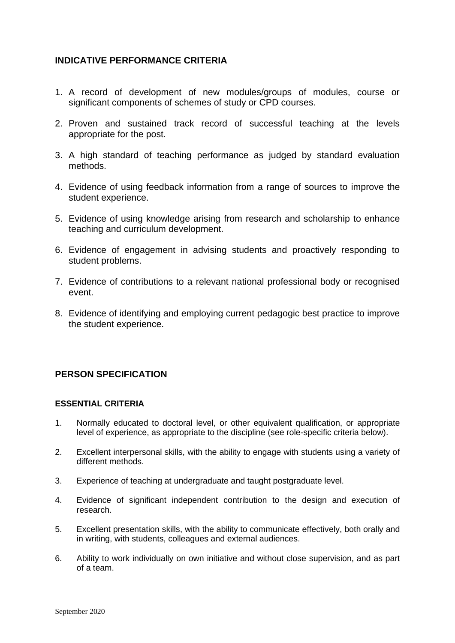# **INDICATIVE PERFORMANCE CRITERIA**

- 1. A record of development of new modules/groups of modules, course or significant components of schemes of study or CPD courses.
- 2. Proven and sustained track record of successful teaching at the levels appropriate for the post.
- 3. A high standard of teaching performance as judged by standard evaluation methods.
- 4. Evidence of using feedback information from a range of sources to improve the student experience.
- 5. Evidence of using knowledge arising from research and scholarship to enhance teaching and curriculum development.
- 6. Evidence of engagement in advising students and proactively responding to student problems.
- 7. Evidence of contributions to a relevant national professional body or recognised event.
- 8. Evidence of identifying and employing current pedagogic best practice to improve the student experience.

## **PERSON SPECIFICATION**

#### **ESSENTIAL CRITERIA**

- 1. Normally educated to doctoral level, or other equivalent qualification, or appropriate level of experience, as appropriate to the discipline (see role-specific criteria below).
- 2. Excellent interpersonal skills, with the ability to engage with students using a variety of different methods.
- 3. Experience of teaching at undergraduate and taught postgraduate level.
- 4. Evidence of significant independent contribution to the design and execution of research.
- 5. Excellent presentation skills, with the ability to communicate effectively, both orally and in writing, with students, colleagues and external audiences.
- 6. Ability to work individually on own initiative and without close supervision, and as part of a team.